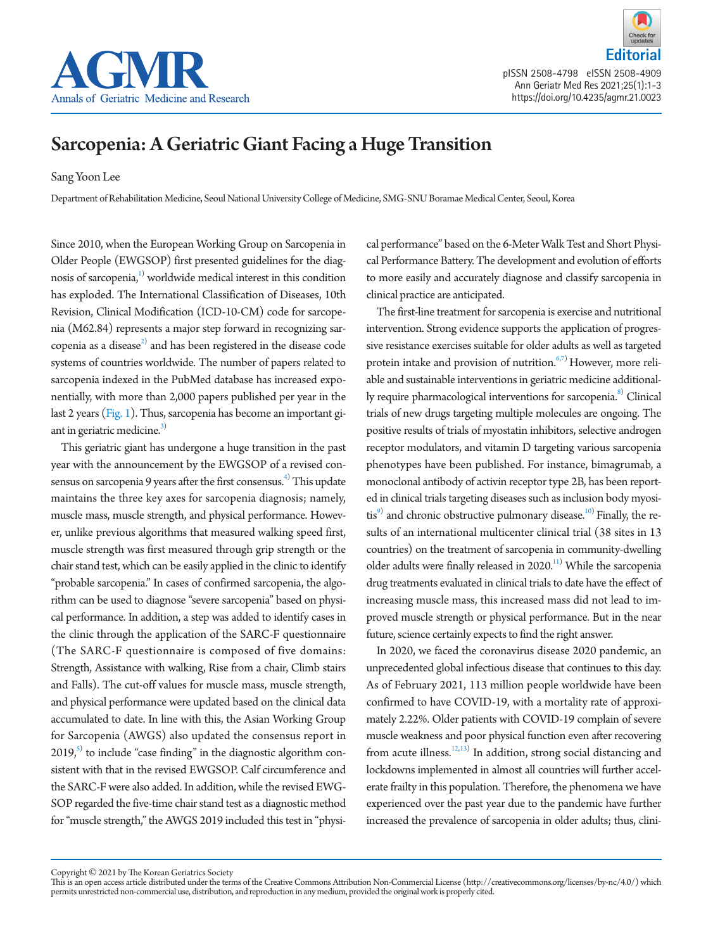

**Editorial**

pISSN 2508-4798 eISSN 2508-4909 Ann Geriatr Med Res 2021;25(1):1-3 https://doi.org/10.4235/agmr.21.0023

# Sarcopenia: A Geriatric Giant Facing a Huge Transition

Sang Yoon Lee

Department of Rehabilitation Medicine, Seoul National University College of Medicine, SMG-SNU Boramae Medical Center, Seoul, Korea

Since 2010, when the European Working Group on Sarcopenia in Older People (EWGSOP) first presented guidelines for the diagnosis of sarcopenia, $^{1)}$  $^{1)}$  $^{1)}$  worldwide medical interest in this condition has exploded. The International Classification of Diseases, 10th Revision, Clinical Modification (ICD-10-CM) code for sarcopenia (M62.84) represents a major step forward in recognizing sarcopenia as a disease $^{2)}$  $^{2)}$  $^{2)}$  and has been registered in the disease code systems of countries worldwide. The number of papers related to sarcopenia indexed in the PubMed database has increased exponentially, with more than 2,000 papers published per year in the last 2 years [\(Fig. 1\)](#page-1-2). Thus, sarcopenia has become an important giant in geriatric medicine. $3)$ 

This geriatric giant has undergone a huge transition in the past year with the announcement by the EWGSOP of a revised consensus on sarcopenia 9 years after the first consensus. $^{4)}$  This update maintains the three key axes for sarcopenia diagnosis; namely, muscle mass, muscle strength, and physical performance. However, unlike previous algorithms that measured walking speed first, muscle strength was first measured through grip strength or the chair stand test, which can be easily applied in the clinic to identify "probable sarcopenia." In cases of confirmed sarcopenia, the algorithm can be used to diagnose "severe sarcopenia" based on physical performance. In addition, a step was added to identify cases in the clinic through the application of the SARC-F questionnaire (The SARC-F questionnaire is composed of five domains: Strength, Assistance with walking, Rise from a chair, Climb stairs and Falls). The cut-off values for muscle mass, muscle strength, and physical performance were updated based on the clinical data accumulated to date. In line with this, the Asian Working Group for Sarcopenia (AWGS) also updated the consensus report in 2019, $^{\text{5}}$  to include "case finding" in the diagnostic algorithm consistent with that in the revised EWGSOP. Calf circumference and the SARC-F were also added. In addition, while the revised EWG-SOP regarded the five-time chair stand test as a diagnostic method for "muscle strength," the AWGS 2019 included this test in "physical performance" based on the 6-Meter Walk Test and Short Physical Performance Battery. The development and evolution of efforts to more easily and accurately diagnose and classify sarcopenia in clinical practice are anticipated.

The first-line treatment for sarcopenia is exercise and nutritional intervention. Strong evidence supports the application of progressive resistance exercises suitable for older adults as well as targeted protein intake and provision of nutrition. $6,7)$  $6,7)$  $6,7)$  However, more reliable and sustainable interventions in geriatric medicine additionally require pharmacological interventions for sarcopenia.<sup>8)</sup> Clinical trials of new drugs targeting multiple molecules are ongoing. The positive results of trials of myostatin inhibitors, selective androgen receptor modulators, and vitamin D targeting various sarcopenia phenotypes have been published. For instance, bimagrumab, a monoclonal antibody of activin receptor type 2B, has been reported in clinical trials targeting diseases such as inclusion body myosi-tis<sup>9)</sup> and chronic obstructive pulmonary disease.<sup>[10](#page-1-10))</sup> Finally, the results of an international multicenter clinical trial (38 sites in 13 countries) on the treatment of sarcopenia in community-dwelling older adults were finally released in  $2020$ .<sup>11</sup> While the sarcopenia drug treatments evaluated in clinical trials to date have the effect of increasing muscle mass, this increased mass did not lead to improved muscle strength or physical performance. But in the near future, science certainly expects to find the right answer.

In 2020, we faced the coronavirus disease 2020 pandemic, an unprecedented global infectious disease that continues to this day. As of February 2021, 113 million people worldwide have been confirmed to have COVID-19, with a mortality rate of approximately 2.22%. Older patients with COVID-19 complain of severe muscle weakness and poor physical function even after recovering from acute illness.<sup>12[,13](#page-1-13))</sup> In addition, strong social distancing and lockdowns implemented in almost all countries will further accelerate frailty in this population. Therefore, the phenomena we have experienced over the past year due to the pandemic have further increased the prevalence of sarcopenia in older adults; thus, clini-

Copyright © 2021 by The Korean Geriatrics Society

This is an open access article distributed under the terms of the Creative Commons Attribution Non-Commercial License (http://creativecommons.org/licenses/by-nc/4.0/) which permits unrestricted non-commercial use, distribution, and reproduction in any medium, provided the original work is properly cited.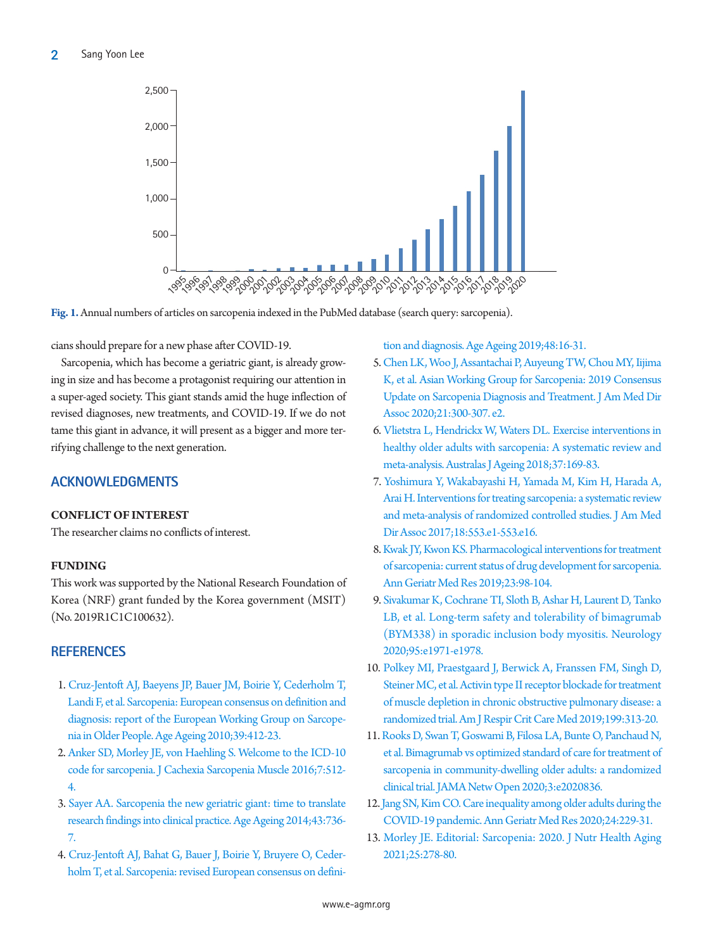<span id="page-1-2"></span>

**Fig. 1.** Annual numbers of articles on sarcopenia indexed in the PubMed database (search query: sarcopenia).

cians should prepare for a new phase after COVID-19.

Sarcopenia, which has become a geriatric giant, is already growing in size and has become a protagonist requiring our attention in a super-aged society. This giant stands amid the huge inflection of revised diagnoses, new treatments, and COVID-19. If we do not tame this giant in advance, it will present as a bigger and more terrifying challenge to the next generation.

## **ACKNOWLEDGMENTS**

#### **CONFLICT OF INTEREST**

The researcher claims no conflicts of interest.

### **FUNDING**

This work was supported by the National Research Foundation of Korea (NRF) grant funded by the Korea government (MSIT) (No. 2019R1C1C100632).

## **REFERENCES**

- <span id="page-1-0"></span>1. [Cruz-Jentoft AJ, Baeyens JP, Bauer JM, Boirie Y, Cederholm T,](https://doi.org/10.1093/ageing/afq034)  [Landi F, et al. Sarcopenia: European consensus on definition and](https://doi.org/10.1093/ageing/afq034)  [diagnosis: report of the European Working Group on Sarcope](https://doi.org/10.1093/ageing/afq034)[nia in Older People. Age Ageing 2010;39:412-23.](https://doi.org/10.1093/ageing/afq034)
- <span id="page-1-1"></span>2. [Anker SD, Morley JE, von Haehling S. Welcome to the ICD-10](https://doi.org/10.1002/jcsm.12147)  [code for sarcopenia. J Cachexia Sarcopenia Muscle 2016;7:512-](https://doi.org/10.1002/jcsm.12147) [4.](https://doi.org/10.1002/jcsm.12147)
- <span id="page-1-3"></span>3. [Sayer AA. Sarcopenia the new geriatric giant: time to translate](https://doi.org/10.1093/ageing/afu118)  [research findings into clinical practice. Age Ageing 2014;43:736-](https://doi.org/10.1093/ageing/afu118) [7.](https://doi.org/10.1093/ageing/afu118)
- <span id="page-1-4"></span>[4. Cruz-Jentoft AJ, Bahat G, Bauer J, Boirie Y, Bruyere O, Ceder](https://doi.org/10.1093/ageing/afz046)[holm T, et al. Sarcopenia: revised European consensus on defini-](https://doi.org/10.1093/ageing/afz046)

[tion and diagnosis. Age Ageing 2019;48:16-31.](https://doi.org/10.1093/ageing/afz046)

- <span id="page-1-5"></span>[5. Chen LK, Woo J, Assantachai P, Auyeung TW, Chou MY, Iijima](https://doi.org/10.1016/j.jamda.2019.12.012)  [K, et al. Asian Working Group for Sarcopenia: 2019 Consensus](https://doi.org/10.1016/j.jamda.2019.12.012)  [Update on Sarcopenia Diagnosis and Treatment. J Am Med Dir](https://doi.org/10.1016/j.jamda.2019.12.012)  [Assoc 2020;21:300-307. e2.](https://doi.org/10.1016/j.jamda.2019.12.012)
- <span id="page-1-6"></span>6[. Vlietstra L, Hendrickx W, Waters DL. Exercise interventions in](https://doi.org/10.1111/ajag.12521)  [healthy older adults with sarcopenia: A systematic review and](https://doi.org/10.1111/ajag.12521)  [meta-analysis. Australas J Ageing 2018;37:169-83](https://doi.org/10.1111/ajag.12521).
- <span id="page-1-7"></span>7[. Yoshimura Y, Wakabayashi H, Yamada M, Kim H, Harada A,](https://doi.org/10.1016/j.jamda.2017.03.019)  [Arai H. Interventions for treating sarcopenia: a systematic review](https://doi.org/10.1016/j.jamda.2017.03.019)  [and meta-analysis of randomized controlled studies. J Am Med](https://doi.org/10.1016/j.jamda.2017.03.019)  [Dir Assoc 2017;18:553.e1-553.e16](https://doi.org/10.1016/j.jamda.2017.03.019).
- <span id="page-1-8"></span>8. Kwak J[Y, Kwon KS. Pharmacological interventions for treatment](https://doi.org/10.4235/agmr.19.0028)  [of sarcopenia: current status of drug development for sarcopenia.](https://doi.org/10.4235/agmr.19.0028)  [Ann Geriatr Med Res 2019;23:98-104.](https://doi.org/10.4235/agmr.19.0028)
- <span id="page-1-9"></span>9. [Sivakumar K, Cochrane TI, Sloth B, Ashar H, Laurent D, Tanko](https://doi.org/10.1212/wnl.0000000000010417)  [LB, et al. Long-term safety and tolerability of bimagrumab](https://doi.org/10.1212/wnl.0000000000010417)  [\(BYM338\) in sporadic inclusion body myositis. Neurology](https://doi.org/10.1212/wnl.0000000000010417)  [2020;95:e1971-e1978.](https://doi.org/10.1212/wnl.0000000000010417)
- <span id="page-1-10"></span>10. [Polkey MI, Praestgaard J, Berwick A, Franssen FM, Singh D,](https://doi.org/10.1164/rccm.201802-0286oc)  [Steiner MC, et al. Activin type II receptor blockade for treatment](https://doi.org/10.1164/rccm.201802-0286oc)  [of muscle depletion in chronic obstructive pulmonary disease: a](https://doi.org/10.1164/rccm.201802-0286oc)  [randomized trial. Am J Respir Crit Care Med](https://doi.org/10.1164/rccm.201802-0286oc) 2019;199:313-20.
- <span id="page-1-11"></span>11[. Rooks D, Swan T, Goswami B, Filosa LA, Bunte O, Panchaud N,](https://doi.org/10.1001/jamanetworkopen.2020.20836)  [et al. Bimagrumab vs optimized standard of care for treatment of](https://doi.org/10.1001/jamanetworkopen.2020.20836)  [sarcopenia in community-dwelling older adults: a randomized](https://doi.org/10.1001/jamanetworkopen.2020.20836)  [clinical trial. JAMA Netw Open](https://doi.org/10.1001/jamanetworkopen.2020.20836) 2020;3:e2020836.
- <span id="page-1-12"></span>12[. Jang SN, Kim CO. Care inequality among older adults during the](https://doi.org/10.4235/agmr.20.0096)  [COVID-19 pandemic. Ann Geriatr Med Res 2020;24:229-31](https://doi.org/10.4235/agmr.20.0096).
- <span id="page-1-13"></span>1[3. Morley JE. Editorial: Sarcopenia: 2020. J Nutr Health Aging](https://doi.org/10.1007/s12603-020-1583-1)  [2021;25:278-80.](https://doi.org/10.1007/s12603-020-1583-1)